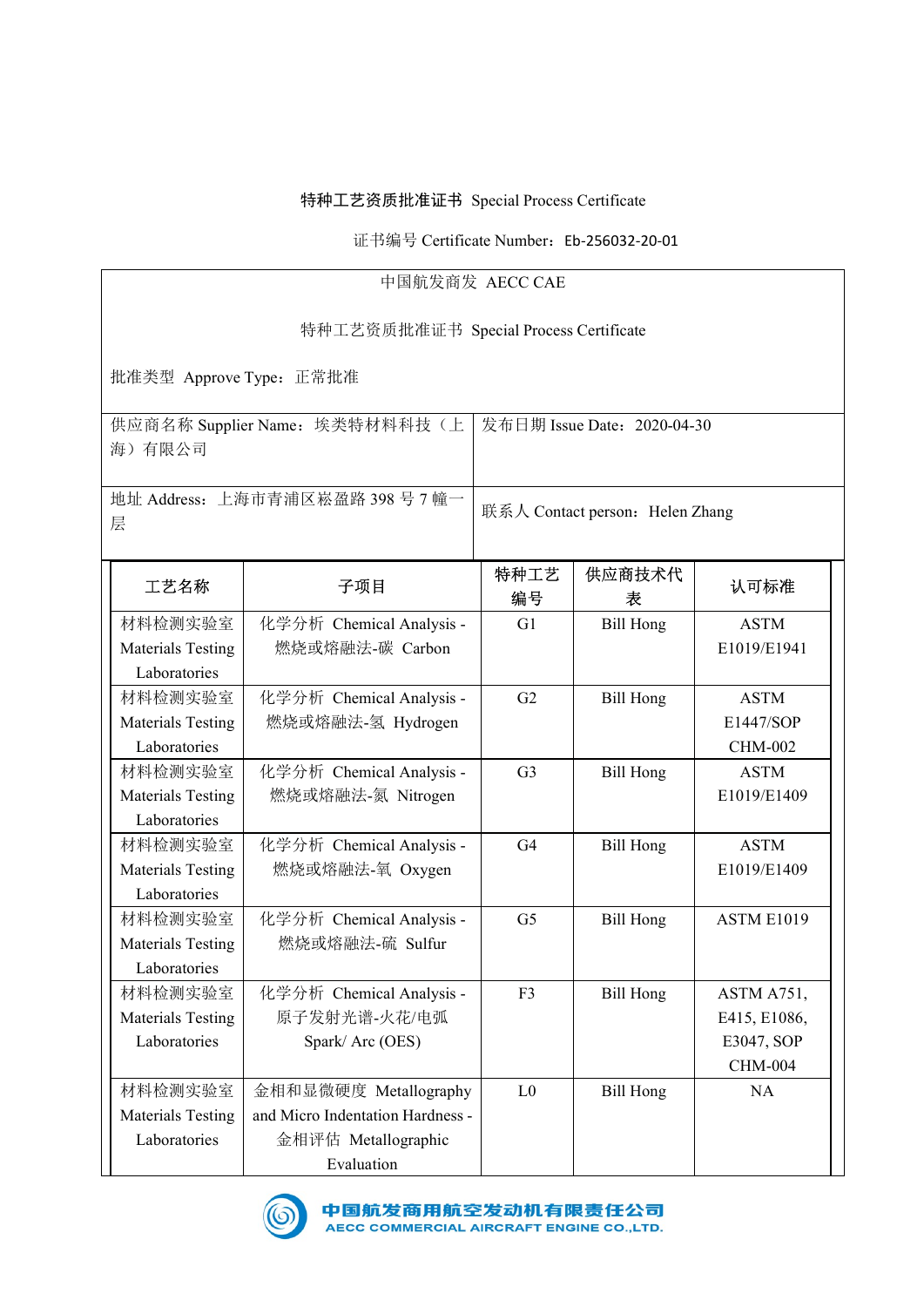## 特种工艺资质批准证书 Special Process Certificate<br>证书编号 Certificate Number:Eb-256032-20-01<br>中国航发商发 AECC CAE 质批准证书 Special Process Certificate<br>3编号 Certificate Number:Eb-256032-20-01<br>中国航发商发 AECC CAE<br>质批准证书 Special Process Certificate 特种工艺资质批准证书 Special Process Certificate<br>
证书编号 Certificate Number: Eb-256032-20-01<br>
中国航发商发 AECC CAE<br><br>特种工艺资质批准证书 Special Process Certificate<br>
E常批准<br>
: 埃类特材料科技(上 | 发布日期 Issue Date: 2020-04-30 特种工艺资质批准证书 Special Process Certificate<br>
<br>
证书编号 Certificate Number: Eb-256032-20-01<br>
中国航发商发 AECC CAE<br>
特种工艺资质批准证书 Special Process Certificate<br><br><br>社准类型 Approve Type: 正常批准<br><br>供应商名称 Supplier Name: 埃类特材料科技(上 20年11期 Issue Date: 供应商名称 Supplier Name:埃类特材料科技(上 海)有限公司 pecial Process Certificate<br>
RECC CAE<br>
pecial Process Certificate<br>
<br>
按布日期 Issue Date: 2020-04-30<br>
<br>
联系人 Contact person: Helen Zhang 地址 Address:上海市青浦区崧盈路 398 号 7 幢一 层 pecial Process Certificate<br>
RECC CAE<br>
AECC CAE<br>
pecial Process Certificate<br>
安布日期 Issue Date: 2020-04-30<br>
<br>
联系人 Contact person: Helen Zhang<br>
特种工艺 供应商技术代<br>
编号 <br><br>
<br>
<br>
<br>
<br>
<br>
<br>
<br>
<br>
<br>
<br>
<br>
<br>
<br>
<br>
<br>
<br> 工艺名称 子项目 特种工艺 编号 供应商技术代 表 认可标准 材料检测实验室 | 化学分析 Chemical Analysis -Materials Testing<br>
Materials Testing Materials Testing Materials Testing Materials Testing Materials Testing Materials Testing <br>
<br>
Materials Testing <br>
<br>
Materials Testing <br>
Materials Testing <br>
Materials Testing <br>
Material Laboratories ー<br>『社会編号 Certificate Number: Eb-256032-20-01<br>中国航发商发 AECC CAE<br>特种工艺资质批准证书 Special Process Certificate<br>Pe: 正常批准<br>Name: 埃类特材料科技 〈上 太布日期 Issue Date: 2020-04-30<br>-<br>Time: 埃类特材料科技 〈上 太布日期 Issue Date: 2020-04-30<br>-<br>Time: 埃类特材料科技 〈上 燃烧或熔融法-碳 Carbon mber: Eb-256032-20-01<br>
CCAE<br>
Fly Issue Date: 2020-04-30<br>
<br>
トランドの A Contact person: Helen Zhang<br>
<br>
中工艺 供应商技术代 认可标准<br>
<br>
は号 表<br>
<br>
G1 Bill Hong ASTM<br>
<br>
E1019/E1941<br>
<br>
<br>
G2 Bill Hong ASTM<br>
<br>
<br>
E1447/SOP E1019/E1941 材料检测实验室 | 化学分析 Chemical Analysis -Materials Testing Laboratories 化学分析 Chemical Analysis - 燃烧或熔融法-氢 Hydrogen G2 Bill Hong ASTM E1447/SOP CHM-002 材料检测实验室 | 化学分析 Chemical Analysis -Materials Testing Laboratories 化学分析 Chemical Analysis - 燃烧或熔融法-氮 Nitrogen G3 Bill Hong ASTM E1019/E1409 材料检测实验室 | 化学分析 Chemical Analysis -|b.h|| Address: 上海市青浦区崧盈路 398 号 7 幢一<br>| 一 天系人 Contact person: Helen<br>| 精神工艺 供应商技术<br>| インピント 子項目 | 特种工艺 供应商技术<br>|<br>| 精権測实验室 化学分析 Chemical Analysis - G1 Bill Hong<br>| Materials Testing 燃烧或熔融法-碳 Carbon<br>| Laboratories<br>| Materials Te Laboratories 化学分析 Chemical Analysis - 燃烧或熔融法-氧 Oxygen 人 Contact person: Helen Zhang<br>
神工艺 供应商技术代 认可标准<br>
G1 Bill Hong ASTM<br>
E1019/E1941<br>
G2 Bill Hong ASTM<br>
E1447/SOP<br>
CHM-002<br>
G3 Bill Hong ASTM<br>
E1019/E1409<br>
G4 Bill Hong ASTM<br>
E1019/E1409<br>
G5 Bill Hong ASTM<br>
E1019/E1409<br>
G5 Bi E1019/E1409 材料检测实验室 | 化学分析 Chemical Analysis -**エ艺名称 子項目 特种工艺 供应商技术代**<br>村料检測实验室 化学分析 Chemical Analysis - G1 Bill Hong<br>Materials Testing 燃烧或熔融法-碳 Carbon<br>Laboratories<br>村科检測实验室 化学分析 Chemical Analysis - G2 Bill Hong<br>Materials Testing 燃烧或熔融法-氢 Hydrogen<br>Laboratories<br>Material Laboratories 化学分析 Chemical Analysis - 燃烧或熔融法-硫 Sulfur #工艺 供应商技术代 认可标准<br>#号 表 认可标准<br>G1 Bill Hong ASTM<br>E1019/E1941<br><br>G2 Bill Hong ASTM<br>E1447/SOP<br>CHM-002<br>G3 Bill Hong ASTM<br>E1019/E1409<br><br>G4 Bill Hong ASTM<br>E1019/E1409<br><br>G5 Bill Hong ASTM<br>E1019/E1409<br><br>G5 Bill Hong ASTM<br>E1019/E1409<br><br><br>E10 材料检测实验室 | 化学分析 Chemical Analysis -材料检测实验室 化学分析 Chemical Analysis - G1 Bill Hong<br>
Laboratories <br>
Materials Testing 燃烧或焙融法-碳 Carbon<br>
Laboratories <br>
Materials Testing 燃烧或焙融法-氢 Hydrogen<br>
Laboratories 燃烧或焙融法-氢 Hydrogen<br>
Laboratories <br>
材料检测实验室 化学分析 Chemical An Laboratories | Spark/ Arc (OES) 化学分析 Chemical Analysis - 原子发射光谱-火花/电弧 或熔融法-碳 Carbon<br>
ト Fr Chemical Analysis - G2 Bill Hong ASTM<br>
技術融法-氢 Hydrogen<br>
東熔融法-氮 Nitrogen<br>
- Tr Chemical Analysis - G3 Bill Hong ASTM<br>
<br>
<br>
<br>
東熔融法-氣 Oxygen<br>
- Fr Chemical Analysis - G4 Bill Hong ASTM<br>
- Fr Chemical Ana F3 Bill Hong ASTM A751, ASTM<br>
E1019/E1941<br>
ASTM<br>
E1447/SOP<br>
CHM-002<br>
ASTM<br>
E1019/E1409<br>
ASTM<br>
E1019/E1409<br>
ASTM E1019<br>
ASTM E1019<br>
ASTM E1019<br>
ASTM E1019<br>
ASTM E1019<br>
ASTM E1019<br>
ASTM E1019<br>
ASTM A751,<br>
E415, E1086,<br>
E3047, SOP<br>
CHM-004<br>
NA E1019/E1941<br>
ASTM<br>
E1447/SOP<br>
CHM-002<br>
ASTM<br>
E1019/E1409<br>
ASTM<br>
E1019/E1409<br>
ASTM E1019<br>
ASTM E1019<br>
ASTM E1019<br>
ASTM E1019<br>
ASTM E1019<br>
ASTM A751,<br>
E415, E1086,<br>
E3047, SOP<br>
CHM-004<br>
NA CHM-004 材料检测实验室 Materials Testing 燃烧或熔融法-氢 Hydrogen<br>
Materials Testing 燃烧或熔融法-氢 Hydrogen<br>
Materials Testing 燃烧或熔融法-氦 Nitrogen<br>
Materials Testing 燃烧或熔融法-氦 Nitrogen<br>
Materials Testing 燃烧或熔融法-氧 Oxygen<br>
Materials Testing 燃烧或熔融法-氧 Oxygen<br>
Lab Laboratories 金相评估 Metallographic 金相和显微硬度 Metallography | L0 | Bill Hong 燃烧或熔融法-氢 Hydrogen<br>
化学分析 Chemical Analysis - G3 Bill Hong ASTM<br>
燃烧或塔融法-氦 Nitrogen<br>
化学分析 Chemical Analysis - G4 Bill Hong ASTM<br>
燃烧或熔融法-氧 Surgen<br>
化学分析 Chemical Analysis - G5 Bill Hong ASTM E1019/E1409<br>
化学分析 Chemical Analys Evaluation G2 Bill Hong ASTM<br>
E1447/SOP<br>
CHM-002<br>
G3 Bill Hong ASTM<br>
E1019/E1409<br>
G5 Bill Hong ASTM<br>
E1019/E1409<br>
G5 Bill Hong ASTM E1019<br>
F3 Bill Hong ASTM E1019<br>
E415, E1086,<br>
E3047, SOP<br>
CHM-004<br>
L0 Bill Hong NA 艺资质批准证书 Special Process Certificate<br>证书编号 Certificate Number: Eb-256032-20-01<br>中国航发商发 AECC CAE<br>艺资质批准证书 Special Process Certificate

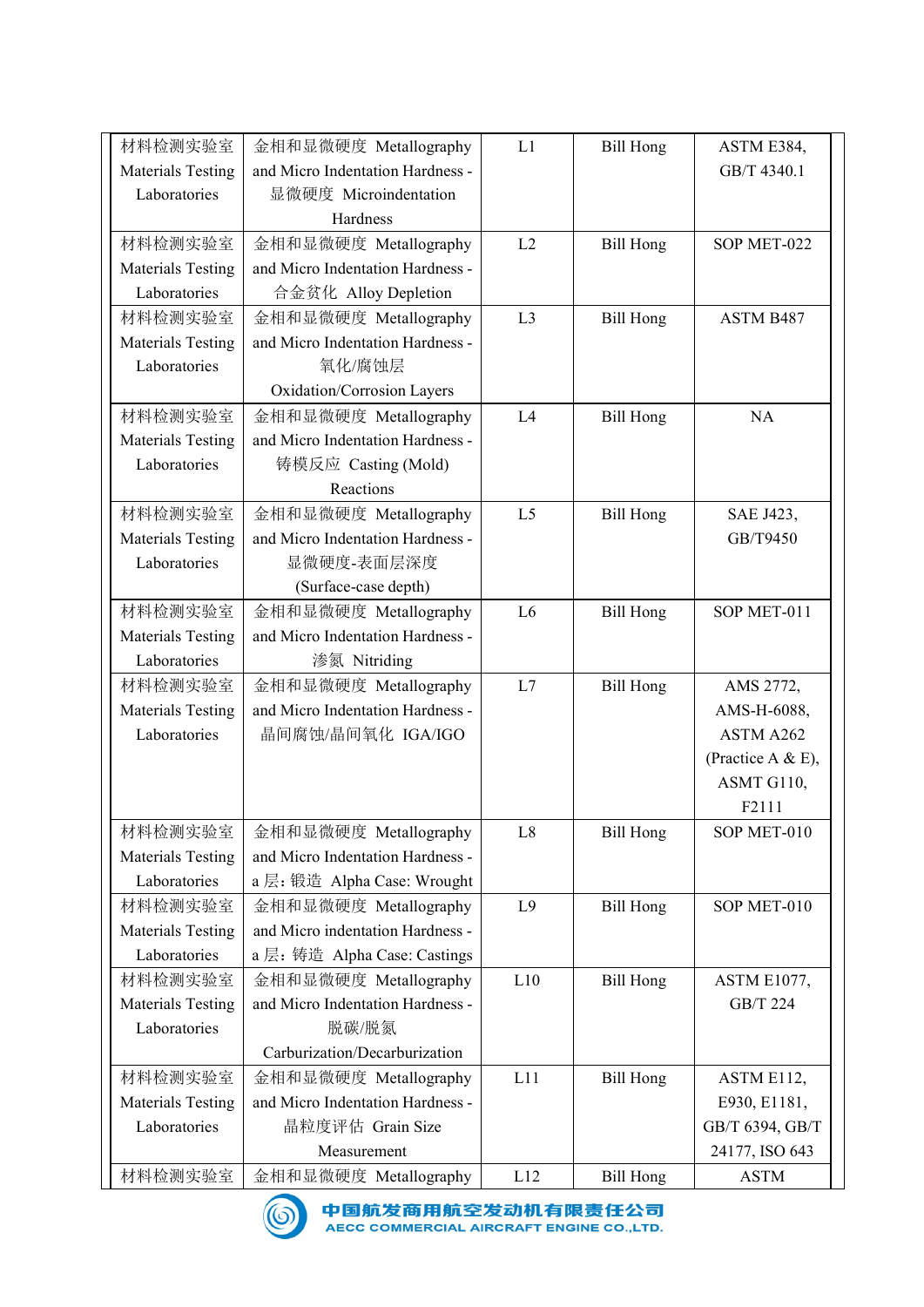| 材料检测实验室                                  | 金相和显微硬度 Metallography                                     | L1             | <b>Bill Hong</b> | ASTM E384,               |
|------------------------------------------|-----------------------------------------------------------|----------------|------------------|--------------------------|
| <b>Materials Testing</b>                 | and Micro Indentation Hardness -                          |                |                  | GB/T 4340.1              |
| Laboratories                             | 显微硬度 Microindentation                                     |                |                  |                          |
|                                          | Hardness                                                  |                |                  |                          |
| 材料检测实验室<br><b>Materials Testing</b>      | 金相和显微硬度 Metallography<br>and Micro Indentation Hardness - | L2             | <b>Bill Hong</b> | SOP MET-022              |
| Laboratories                             | 合金贫化 Alloy Depletion                                      |                |                  |                          |
| 材料检测实验室                                  | 金相和显微硬度 Metallography                                     | L3             | <b>Bill Hong</b> | ASTM B487                |
| <b>Materials Testing</b>                 | and Micro Indentation Hardness -                          |                |                  |                          |
| Laboratories                             | 氧化/腐蚀层                                                    |                |                  |                          |
| 材料检测实验室                                  | Oxidation/Corrosion Layers<br>金相和显微硬度 Metallography       | L4             | <b>Bill Hong</b> | <b>NA</b>                |
| Materials Testing                        | and Micro Indentation Hardness -                          |                |                  |                          |
| Laboratories                             | 铸模反应 Casting (Mold)                                       |                |                  |                          |
|                                          | Reactions                                                 |                |                  |                          |
| 材料检测实验室                                  | 金相和显微硬度 Metallography                                     | L <sub>5</sub> | <b>Bill Hong</b> | SAE J423,                |
| <b>Materials Testing</b><br>Laboratories | and Micro Indentation Hardness -<br>显微硬度-表面层深度            |                |                  | GB/T9450                 |
|                                          | (Surface-case depth)                                      |                |                  |                          |
| 材料检测实验室                                  | 金相和显微硬度 Metallography                                     | L <sub>6</sub> | <b>Bill Hong</b> | SOP MET-011              |
| <b>Materials Testing</b>                 | and Micro Indentation Hardness -                          |                |                  |                          |
| Laboratories                             | 渗氮 Nitriding                                              |                |                  |                          |
| 材料检测实验室                                  | 金相和显微硬度 Metallography<br>and Micro Indentation Hardness - | L7             | <b>Bill Hong</b> | AMS 2772,                |
| <b>Materials Testing</b><br>Laboratories | 晶间腐蚀/晶间氧化 IGA/IGO                                         |                |                  | AMS-H-6088,<br>ASTM A262 |
|                                          |                                                           |                |                  | (Practice A & E),        |
|                                          |                                                           |                |                  | ASMT G110,               |
|                                          |                                                           |                |                  | F2111                    |
| 材料检测实验室<br>Materials Testing             | 金相和显微硬度 Metallography<br>and Micro Indentation Hardness - | L8             | <b>Bill Hong</b> | SOP MET-010              |
| Laboratories                             | a 层: 锻造 Alpha Case: Wrought                               |                |                  |                          |
| 材料检测实验室                                  | 金相和显微硬度 Metallography                                     | L9             | <b>Bill Hong</b> | SOP MET-010              |
| <b>Materials Testing</b>                 | and Micro indentation Hardness -                          |                |                  |                          |
| Laboratories                             | a 层: 铸造 Alpha Case: Castings                              |                |                  |                          |
| 材料检测实验室                                  | 金相和显微硬度 Metallography                                     | L10            | <b>Bill Hong</b> | ASTM E1077,              |
| <b>Materials Testing</b><br>Laboratories | and Micro Indentation Hardness -<br>脱碳/脱氮                 |                |                  | GB/T 224                 |
|                                          | Carburization/Decarburization                             |                |                  |                          |
| 材料检测实验室                                  | 金相和显微硬度 Metallography                                     | L11            | <b>Bill Hong</b> | ASTM E112,               |
| <b>Materials Testing</b>                 | and Micro Indentation Hardness -                          |                |                  | E930, E1181,             |
| Laboratories                             | 晶粒度评估 Grain Size                                          |                |                  | GB/T 6394, GB/T          |
|                                          | Measurement                                               |                |                  | 24177, ISO 643           |
| 材料检测实验室                                  | 金相和显微硬度 Metallography                                     | L12            | <b>Bill Hong</b> | <b>ASTM</b>              |

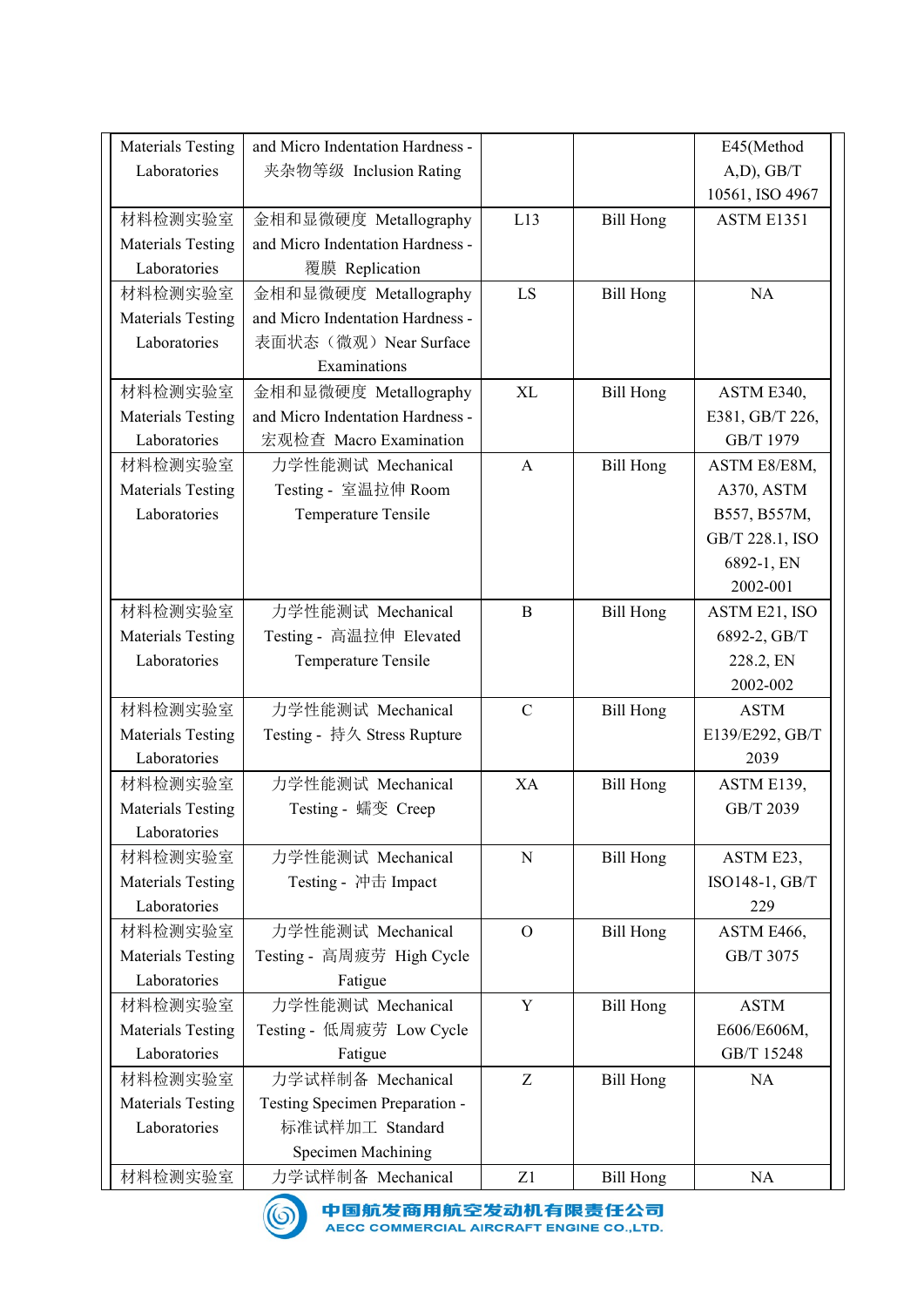| <b>Materials Testing</b>                 | and Micro Indentation Hardness -                          |              |                  | E45(Method                      |
|------------------------------------------|-----------------------------------------------------------|--------------|------------------|---------------------------------|
| Laboratories                             | 夹杂物等级 Inclusion Rating                                    |              |                  | (A,D), GB/T                     |
|                                          |                                                           |              |                  | 10561, ISO 4967                 |
| 材料检测实验室                                  | 金相和显微硬度 Metallography                                     | L13          | <b>Bill Hong</b> | ASTM E1351                      |
| <b>Materials Testing</b>                 | and Micro Indentation Hardness -                          |              |                  |                                 |
| Laboratories                             | 覆膜 Replication                                            |              |                  |                                 |
| 材料检测实验室<br>Materials Testing             | 金相和显微硬度 Metallography<br>and Micro Indentation Hardness - | LS           | <b>Bill Hong</b> | <b>NA</b>                       |
| Laboratories                             | 表面状态(微观) Near Surface                                     |              |                  |                                 |
|                                          | Examinations                                              |              |                  |                                 |
| 材料检测实验室                                  | 金相和显微硬度 Metallography                                     | <b>XL</b>    | <b>Bill Hong</b> | ASTM E340,                      |
| <b>Materials Testing</b>                 | and Micro Indentation Hardness -                          |              |                  | E381, GB/T 226,                 |
| Laboratories                             | 宏观检查 Macro Examination                                    |              |                  | GB/T 1979                       |
| 材料检测实验室                                  | 力学性能测试 Mechanical                                         | A            | Bill Hong        | ASTM E8/E8M,                    |
| <b>Materials Testing</b>                 | Testing - 室温拉伸 Room                                       |              |                  | A370, ASTM                      |
| Laboratories                             | Temperature Tensile                                       |              |                  | B557, B557M,<br>GB/T 228.1, ISO |
|                                          |                                                           |              |                  | 6892-1, EN                      |
|                                          |                                                           |              |                  | 2002-001                        |
| 材料检测实验室                                  | 力学性能测试 Mechanical                                         | $\bf{B}$     | <b>Bill Hong</b> | ASTM E21, ISO                   |
| <b>Materials Testing</b>                 | Testing - 高温拉伸 Elevated                                   |              |                  | 6892-2, GB/T                    |
| Laboratories                             | Temperature Tensile                                       |              |                  | 228.2, EN                       |
|                                          |                                                           |              |                  | 2002-002                        |
| 材料检测实验室                                  | 力学性能测试 Mechanical                                         | ${\bf C}$    | <b>Bill Hong</b> | <b>ASTM</b>                     |
| <b>Materials Testing</b><br>Laboratories | Testing - 持久 Stress Rupture                               |              |                  | E139/E292, GB/T<br>2039         |
| 材料检测实验室                                  | 力学性能测试 Mechanical                                         | XA           | <b>Bill Hong</b> | ASTM E139,                      |
| Materials Testing                        | Testing - 蠕变 Creep                                        |              |                  | GB/T 2039                       |
| Laboratories                             |                                                           |              |                  |                                 |
| 材料检测实验室                                  | 力学性能测试 Mechanical                                         | ${\bf N}$    | <b>Bill Hong</b> | ASTM E23,                       |
| Materials Testing                        | Testing - 冲击 Impact                                       |              |                  | ISO148-1, GB/T                  |
| Laboratories                             |                                                           |              |                  | 229                             |
| 材料检测实验室                                  | 力学性能测试 Mechanical                                         | $\mathbf{O}$ | <b>Bill Hong</b> | ASTM E466,                      |
| <b>Materials Testing</b><br>Laboratories | Testing - 高周疲劳 High Cycle<br>Fatigue                      |              |                  | GB/T 3075                       |
| 材料检测实验室                                  | 力学性能测试 Mechanical                                         | Y            | <b>Bill Hong</b> | <b>ASTM</b>                     |
| <b>Materials Testing</b>                 | Testing - 低周疲劳 Low Cycle                                  |              |                  | E606/E606M,                     |
| Laboratories                             | Fatigue                                                   |              |                  | GB/T 15248                      |
| 材料检测实验室                                  | 力学试样制备 Mechanical                                         | Z            | <b>Bill Hong</b> | NA                              |
| <b>Materials Testing</b>                 | Testing Specimen Preparation -                            |              |                  |                                 |
| Laboratories                             | 标准试样加工 Standard                                           |              |                  |                                 |
|                                          | <b>Specimen Machining</b>                                 |              | <b>Bill Hong</b> |                                 |
| 材料检测实验室                                  | 力学试样制备 Mechanical                                         | Z1           |                  | NA                              |

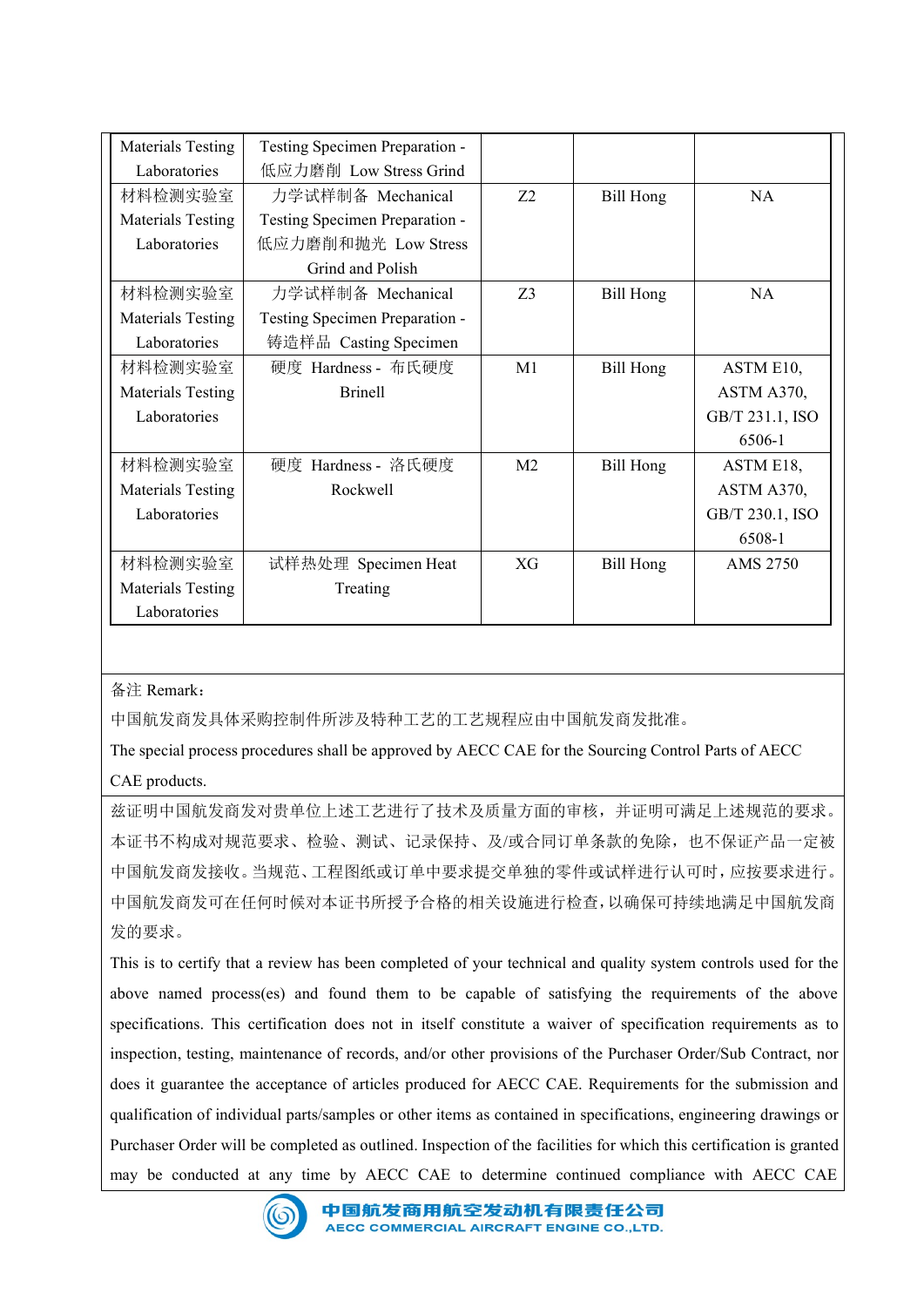| <b>Materials Testing</b> | Testing Specimen Preparation -                                                                      |                |                  |                           |
|--------------------------|-----------------------------------------------------------------------------------------------------|----------------|------------------|---------------------------|
| Laboratories             | 低应力磨削 Low Stress Grind                                                                              |                |                  |                           |
| 材料检测实验室                  | 力学试样制备 Mechanical                                                                                   | Z2             | <b>Bill Hong</b> | NA                        |
| <b>Materials Testing</b> | Testing Specimen Preparation -                                                                      |                |                  |                           |
| Laboratories             | 低应力磨削和抛光 Low Stress                                                                                 |                |                  |                           |
| 材料检测实验室                  | Grind and Polish<br>力学试样制备 Mechanical                                                               | Z3             | <b>Bill Hong</b> | NA                        |
| Materials Testing        | Testing Specimen Preparation -                                                                      |                |                  |                           |
| Laboratories             | 铸造样品 Casting Specimen                                                                               |                |                  |                           |
| 材料检测实验室                  | 硬度 Hardness - 布氏硬度                                                                                  | M1             | <b>Bill Hong</b> | ASTM E10,                 |
| Materials Testing        | <b>Brinell</b>                                                                                      |                |                  | ASTM A370,                |
| Laboratories             |                                                                                                     |                |                  | GB/T 231.1, ISO           |
|                          |                                                                                                     |                |                  | 6506-1                    |
| 材料检测实验室                  | 硬度 Hardness - 洛氏硬度                                                                                  | M <sub>2</sub> | <b>Bill Hong</b> | ASTM E18,                 |
| <b>Materials Testing</b> | Rockwell                                                                                            |                |                  | ASTM A370,                |
| Laboratories             |                                                                                                     |                |                  | GB/T 230.1, ISO<br>6508-1 |
| 材料检测实验室                  | 试样热处理 Specimen Heat                                                                                 | XG             | <b>Bill Hong</b> | AMS 2750                  |
| <b>Materials Testing</b> | Treating                                                                                            |                |                  |                           |
| Laboratories             |                                                                                                     |                |                  |                           |
|                          |                                                                                                     |                |                  |                           |
|                          |                                                                                                     |                |                  |                           |
| 备注 Remark:               |                                                                                                     |                |                  |                           |
|                          | 中国航发商发具体采购控制件所涉及特种工艺的工艺规程应由中国航发商发批准。                                                                |                |                  |                           |
|                          | The special process procedures shall be approved by AECC CAE for the Sourcing Control Parts of AECC |                |                  |                           |
| CAE products.            |                                                                                                     |                |                  |                           |
|                          | 兹证明中国航发商发对贵单位上述工艺进行了技术及质量方面的审核,并证明可满足上述规范的要求。                                                       |                |                  |                           |
|                          | 本证书不构成对规范要求、检验、测试、记录保持、及/或合同订单条款的免除, 也不保证产品一定被                                                      |                |                  |                           |
|                          | 中国航发商发接收。当规范、工程图纸或订单中要求提交单独的零件或试样进行认可时,应按要求进行。                                                      |                |                  |                           |
|                          |                                                                                                     |                |                  |                           |

## 备注 Remark:

兹证明中国航发商发对贵单位上述工艺进行了技术及质量方面的审核,并证明可满足上述规范的要求。 本证书不构成对规范要求、检验、测试、记录保持、及/或合同订单条款的免除,也不保证产品一定被 中国航发商发接收。当规范、工程图纸或订单中要求提交单独的零件或试样进行认可时,应按要求进行。 中国航发商发可在任何时候对本证书所授予合格的相关设施进行检查,以确保可持续地满足中国航发商 发的要求。 MHP放电器 Facting Review has been completed of your technical and quality system controls used for the special process procedures shall be approved by AECC CAF for the Sourcing Control Parts of AFCC<br>
CAF products.<br>
在 The sp

above name is and found them to be capable of satisfying the requirements of the submission and does it guarantene fe seconduces of foreses) and for the requirements of a BCC CAF for the Sourcing Control Parts of AECC<br>
<br> Seed Remark:<br>中国航发商发具体采购控制件所涉及特种工艺的工艺规程应由中国航发商发批准。<br>The special process procedures shall be approved by AECC CAF for the Sourcing Control Parts of AECC<br>CAF products.<br><br>在开明中国航发商发动责单位上述工艺进行了技术及质量方面的审核,并证明可满足上述规范的要求。<br>本书书内成对规范要  $\begin{array}{l} \mbox{\small 48:} \emph{Remark,} \end{array}$  <br>  $\mbox{\small 49:} \emph{Remark,} \emph{49:} \emph{49:} \emph{49:} \emph{40:} \emph{40:} \emph{40:} \emph{41:} \emph{41:} \emph{42:} \emph{43:} \emph{44:} \emph{45:} \emph{46:} \emph{47:} \emph{48:} \emph{48:} \emph{49:} \emph{40:} \emph{40:} \emph{47:} \emph{$ 各注 Remark:<br>
r中国航发商发具体采购控制件所涉及特种工艺的工艺规程应由中国航发商发税准。<br>
The special process procedures shall be approved by AECC CAE for the Sourcing Control Parts of AECC<br>
CAE products.<br>
<br>
CAE products.<br>
<br>
在 iguarantee of articles produced 中国航发商发展体采购控制作所涉及特种工艺的工艺规程应由中国航发商发挥准.<br>The special process procedures shall be approved by AECC CAE for the Sourcing Control Parts of AECC<br>CAE products.<br>Aii 进行国航发商发动责单位上述工艺进行了技术及质量方面的审核,并证明可满足上述规定,本征产品一定被<br>本证书不构成对规范要求、检验、测试、 The special process procedures shall be approved by AECC CAE for the Sourcing Control Parts of AECC<br>
CAE products.<br>  $\angle$  EXE products.<br>  $\angle$  EXE products.<br>  $\angle$  The Facility of  $\frac{1}{2}$   $\angle$   $\angle$   $\angle$   $\angle$   $\angle$   $\angle$   $\angle$ CAE products.<br> **CAE products**<br> **盆证明中国航发商发对费单位上述上艺进行了技术及质量方面的审核,并证明可满足上述规范的受求。**<br>
本质书构成对规范要求、检验、测试、过录保持、及/成合同订单条款的免除,也不保证产品一定被<br>
中国航发商发技师、工程图纸或订单中要求提交单独的零件或试样进行认可时,应核要求进行。<br>
中国航发商发行任任何时候对本证书所授予合格的相关设施进行检查,以确保可持续地满足中国航发商